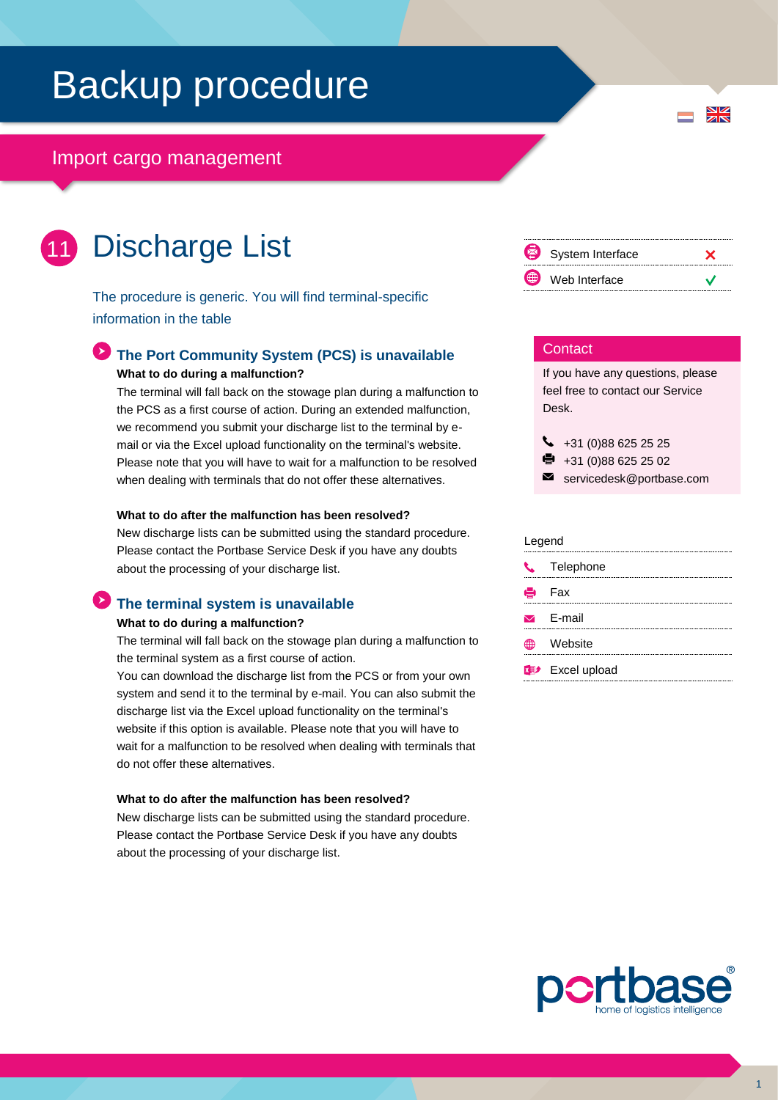# Backup procedure

## Import cargo management

### Discharge List 11

The procedure is generic. You will find terminal-specific information in the table

### **The Port Community System (PCS) is unavailable What to do during a malfunction?**

The terminal will fall back on the stowage plan during a malfunction to the PCS as a first course of action. During an extended malfunction, we recommend you submit your discharge list to the terminal by email or via the Excel upload functionality on the terminal's website. Please note that you will have to wait for a malfunction to be resolved when dealing with terminals that do not offer these alternatives.

### **What to do after the malfunction has been resolved?**

New discharge lists can be submitted using the standard procedure. Please contact the Portbase Service Desk if you have any doubts about the processing of your discharge list.

## **The terminal system is unavailable**

### **What to do during a malfunction?**

The terminal will fall back on the stowage plan during a malfunction to the terminal system as a first course of action.

You can download the discharge list from the PCS or from your own system and send it to the terminal by e-mail. You can also submit the discharge list via the Excel upload functionality on the terminal's website if this option is available. Please note that you will have to wait for a malfunction to be resolved when dealing with terminals that do not offer these alternatives.

#### **What to do after the malfunction has been resolved?**

New discharge lists can be submitted using the standard procedure. Please contact the Portbase Service Desk if you have any doubts about the processing of your discharge list.



 $\frac{N}{Z}$ 

### **Contact**

If you have any questions, please feel free to contact our Service Desk.

 $\bigcup$  +31 (0)88 625 25 25

 $\bullet$  +31 (0)88 625 25 02

```
\blacksquareservicedesk@portbase.com
```
#### Legend

|    | C <sub>s</sub> Telephone           |
|----|------------------------------------|
|    | <b>侵</b> Fax                       |
|    | $\triangleright$ E-mail            |
| Æ₩ | Website                            |
|    | <b>x</b> <sup>y</sup> Excel upload |